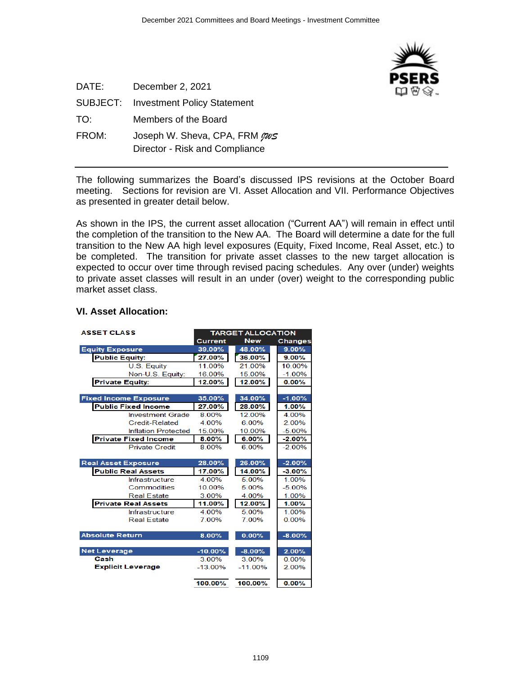

| DATE:    | December 2, 2021                   |
|----------|------------------------------------|
| SUBJECT: | <b>Investment Policy Statement</b> |
| TO:      | Members of the Board               |
| FROM:    | Joseph W. Sheva, CPA, FRM pus      |
|          | Director - Risk and Compliance     |

The following summarizes the Board's discussed IPS revisions at the October Board meeting. Sections for revision are VI. Asset Allocation and VII. Performance Objectives as presented in greater detail below.

As shown in the IPS, the current asset allocation ("Current AA") will remain in effect until the completion of the transition to the New AA. The Board will determine a date for the full transition to the New AA high level exposures (Equity, Fixed Income, Real Asset, etc.) to be completed. The transition for private asset classes to the new target allocation is expected to occur over time through revised pacing schedules. Any over (under) weights to private asset classes will result in an under (over) weight to the corresponding public market asset class.

| <b>ASSET CLASS</b>           |                | <b>TARGET ALLOCATION</b> |                |
|------------------------------|----------------|--------------------------|----------------|
|                              | <b>Current</b> | <b>New</b>               | <b>Changes</b> |
| <b>Equity Exposure</b>       | 39.00%         | 48.00%                   | 9.00%          |
| <b>Public Equity:</b>        | 27.00%         | 36.00%                   | 9.00%          |
| U.S. Equity                  | 11.00%         | 21.00%                   | 10.00%         |
| Non-U.S. Equity:             | 16.00%         | 15.00%                   | $-1.00\%$      |
| <b>Private Equity:</b>       | 12.00%         | 12.00%                   | 0.00%          |
|                              |                |                          |                |
| <b>Fixed Income Exposure</b> | 35.00%         | 34.00%                   | $-1.00%$       |
| <b>Public Fixed Income</b>   | 27.00%         | 28.00%                   | 1.00%          |
| <b>Investment Grade</b>      | 8.00%          | 12.00%                   | 4.00%          |
| <b>Credit-Related</b>        | 4.00%          | 6.00%                    | 2.00%          |
| <b>Inflation Protected</b>   | 15.00%         | 10.00%                   | $-5.00%$       |
| <b>Private Fixed Income</b>  | 8.00%          | 6.00%                    | $-2.00%$       |
| <b>Private Credit</b>        | 8.00%          | 6.00%                    | $-2.00%$       |
|                              |                |                          |                |
| <b>Real Asset Exposure</b>   | 28.00%         | 26.00%                   | $-2.00%$       |
| <b>Public Real Assets</b>    | 17.00%         | 14.00%                   | $-3.00%$       |
| Infrastructure               | 4.00%          | 5.00%                    | 1.00%          |
| Commodities                  | 10.00%         | 5.00%                    | $-5.00%$       |
| <b>Real Estate</b>           | 3.00%          | 4.00%                    | 1.00%          |
| <b>Private Real Assets</b>   | 11.00%         | 12.00%                   | 1.00%          |
| Infrastructure               | 4 00%          | 5.00%                    | 1.00%          |
| <b>Real Estate</b>           | 7.00%          | 7.00%                    | 0.00%          |
|                              |                |                          |                |
| <b>Absolute Return</b>       | 8.00%          | 0.00%                    | $-8.00%$       |
|                              |                |                          |                |
| <b>Net Leverage</b>          | $-10.00%$      | $-8.00%$                 | 2.00%          |
| Cash                         | 3.00%          | 3.00%                    | 0.00%          |
| <b>Explicit Leverage</b>     | $-13.00\%$     | $-11.00%$                | 2.00%          |
|                              |                |                          |                |
|                              | 100.00%        | 100.00%                  | 0.00%          |

## **VI. Asset Allocation:**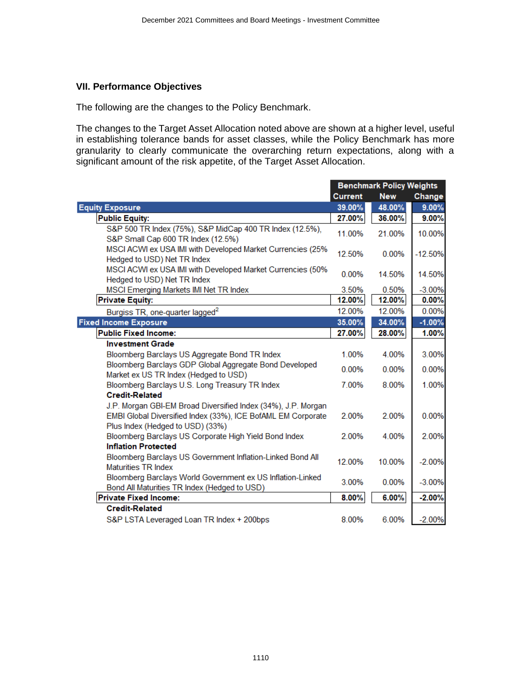## **VII. Performance Objectives**

The following are the changes to the Policy Benchmark.

The changes to the Target Asset Allocation noted above are shown at a higher level, useful in establishing tolerance bands for asset classes, while the Policy Benchmark has more granularity to clearly communicate the overarching return expectations, along with a significant amount of the risk appetite, of the Target Asset Allocation.

|                                                                                                  | <b>Benchmark Policy Weights</b> |            |           |
|--------------------------------------------------------------------------------------------------|---------------------------------|------------|-----------|
|                                                                                                  | <b>Current</b>                  | <b>New</b> | Change    |
| <b>Equity Exposure</b>                                                                           | 39.00%                          | 48.00%     | 9.00%     |
| <b>Public Equity:</b>                                                                            | 27.00%                          | 36.00%     | 9.00%     |
| S&P 500 TR Index (75%), S&P MidCap 400 TR Index (12.5%),<br>S&P Small Cap 600 TR Index (12.5%)   | 11.00%                          | 21.00%     | 10.00%    |
| MSCI ACWI ex USA IMI with Developed Market Currencies (25%<br>Hedged to USD) Net TR Index        | 12.50%                          | 0.00%      | $-12.50%$ |
| MSCI ACWI ex USA IMI with Developed Market Currencies (50%<br>Hedged to USD) Net TR Index        | 0.00%                           | 14.50%     | 14.50%    |
| MSCI Emerging Markets IMI Net TR Index                                                           | 3.50%                           | 0.50%      | $-3.00%$  |
| <b>Private Equity:</b>                                                                           | 12.00%                          | 12.00%     | 0.00%     |
| Burgiss TR, one-quarter lagged <sup>2</sup>                                                      | 12.00%                          | 12.00%     | 0.00%     |
| <b>Fixed Income Exposure</b>                                                                     | 35.00%                          | 34.00%     | $-1.00%$  |
| <b>Public Fixed Income:</b>                                                                      | 27.00%                          | 28.00%     | 1.00%     |
| <b>Investment Grade</b>                                                                          |                                 |            |           |
| Bloomberg Barclays US Aggregate Bond TR Index                                                    | 1.00%                           | 4.00%      | 3.00%     |
| Bloomberg Barclays GDP Global Aggregate Bond Developed<br>Market ex US TR Index (Hedged to USD)  | 0.00%                           | 0.00%      | 0.00%     |
| Bloomberg Barclays U.S. Long Treasury TR Index                                                   | 7.00%                           | 8.00%      | 1.00%     |
| <b>Credit-Related</b>                                                                            |                                 |            |           |
| J.P. Morgan GBI-EM Broad Diversified Index (34%), J.P. Morgan                                    |                                 |            |           |
| EMBI Global Diversified Index (33%), ICE BofAML EM Corporate<br>Plus Index (Hedged to USD) (33%) | 2.00%                           | 2.00%      | 0.00%     |
| Bloomberg Barclays US Corporate High Yield Bond Index                                            | 2.00%                           | 4.00%      | 2.00%     |
| <b>Inflation Protected</b>                                                                       |                                 |            |           |
| Bloomberg Barclays US Government Inflation-Linked Bond All                                       | 12.00%                          | 10.00%     | $-2.00%$  |
| <b>Maturities TR Index</b><br>Bloomberg Barclays World Government ex US Inflation-Linked         |                                 |            |           |
| Bond All Maturities TR Index (Hedged to USD)                                                     | 3.00%                           | 0.00%      | $-3.00%$  |
| <b>Private Fixed Income:</b>                                                                     | 8.00%                           | 6.00%      | $-2.00%$  |
| <b>Credit-Related</b>                                                                            |                                 |            |           |
| S&P LSTA Leveraged Loan TR Index + 200bps                                                        | 8.00%                           | 6.00%      | $-2.00%$  |